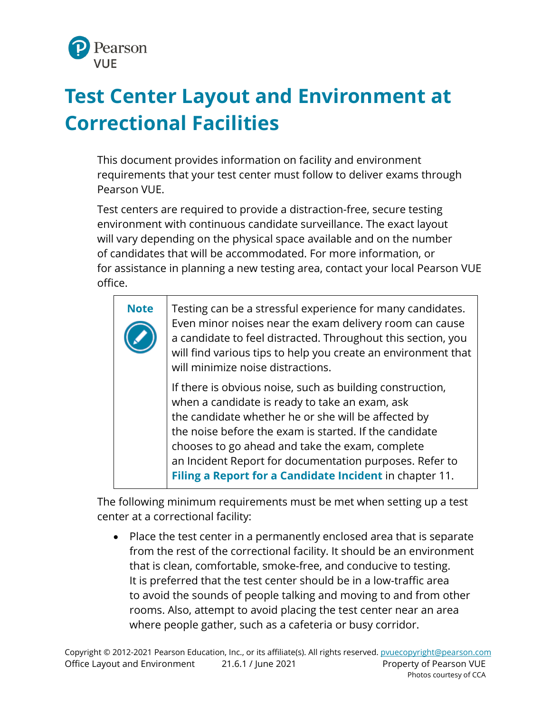

## **Test Center Layout and Environment at Correctional Facilities**

This document provides information on facility and environment requirements that your test center must follow to deliver exams through Pearson VUE.

Test centers are required to provide a distraction-free, secure testing environment with continuous candidate surveillance. The exact layout will vary depending on the physical space available and on the number of candidates that will be accommodated. For more information, or for assistance in planning a new testing area, contact your local Pearson VUE office.

| <b>Note</b> | Testing can be a stressful experience for many candidates.<br>Even minor noises near the exam delivery room can cause<br>a candidate to feel distracted. Throughout this section, you<br>will find various tips to help you create an environment that<br>will minimize noise distractions.                                                                                                           |
|-------------|-------------------------------------------------------------------------------------------------------------------------------------------------------------------------------------------------------------------------------------------------------------------------------------------------------------------------------------------------------------------------------------------------------|
|             | If there is obvious noise, such as building construction,<br>when a candidate is ready to take an exam, ask<br>the candidate whether he or she will be affected by<br>the noise before the exam is started. If the candidate<br>chooses to go ahead and take the exam, complete<br>an Incident Report for documentation purposes. Refer to<br>Filing a Report for a Candidate Incident in chapter 11. |

The following minimum requirements must be met when setting up a test center at a correctional facility:

• Place the test center in a permanently enclosed area that is separate from the rest of the correctional facility. It should be an environment that is clean, comfortable, smoke-free, and conducive to testing. It is preferred that the test center should be in a low-traffic area to avoid the sounds of people talking and moving to and from other rooms. Also, attempt to avoid placing the test center near an area where people gather, such as a cafeteria or busy corridor.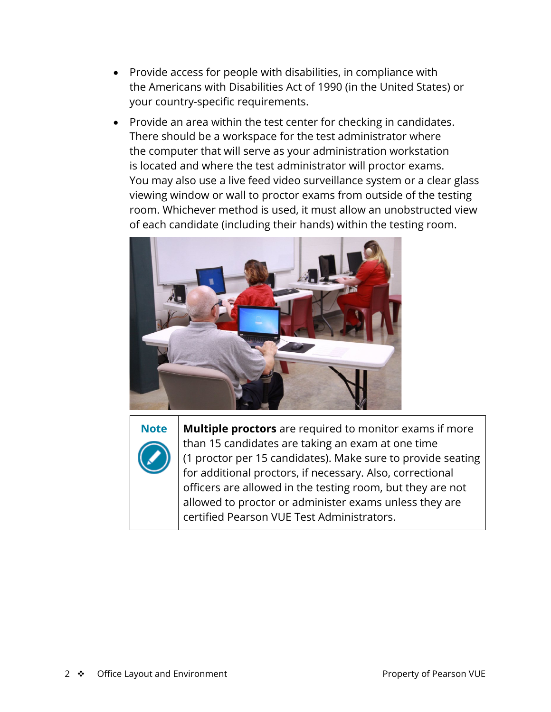- Provide access for people with disabilities, in compliance with the Americans with Disabilities Act of 1990 (in the United States) or your country-specific requirements.
- Provide an area within the test center for checking in candidates. There should be a workspace for the test administrator where the computer that will serve as your administration workstation is located and where the test administrator will proctor exams. You may also use a live feed video surveillance system or a clear glass viewing window or wall to proctor exams from outside of the testing room. Whichever method is used, it must allow an unobstructed view of each candidate (including their hands) within the testing room.





**Note Multiple proctors** are required to monitor exams if more than 15 candidates are taking an exam at one time (1 proctor per 15 candidates). Make sure to provide seating for additional proctors, if necessary. Also, correctional officers are allowed in the testing room, but they are not allowed to proctor or administer exams unless they are certified Pearson VUE Test Administrators.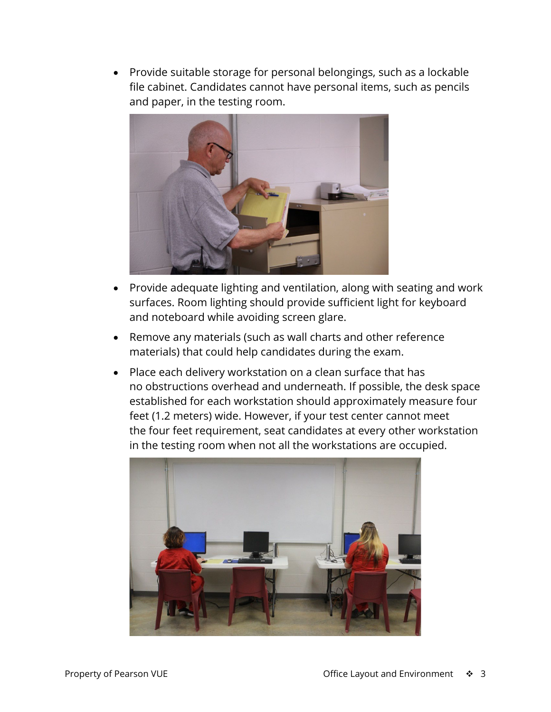• Provide suitable storage for personal belongings, such as a lockable file cabinet. Candidates cannot have personal items, such as pencils and paper, in the testing room.



- Provide adequate lighting and ventilation, along with seating and work surfaces. Room lighting should provide sufficient light for keyboard and noteboard while avoiding screen glare.
- Remove any materials (such as wall charts and other reference materials) that could help candidates during the exam.
- Place each delivery workstation on a clean surface that has no obstructions overhead and underneath. If possible, the desk space established for each workstation should approximately measure four feet (1.2 meters) wide. However, if your test center cannot meet the four feet requirement, seat candidates at every other workstation in the testing room when not all the workstations are occupied.

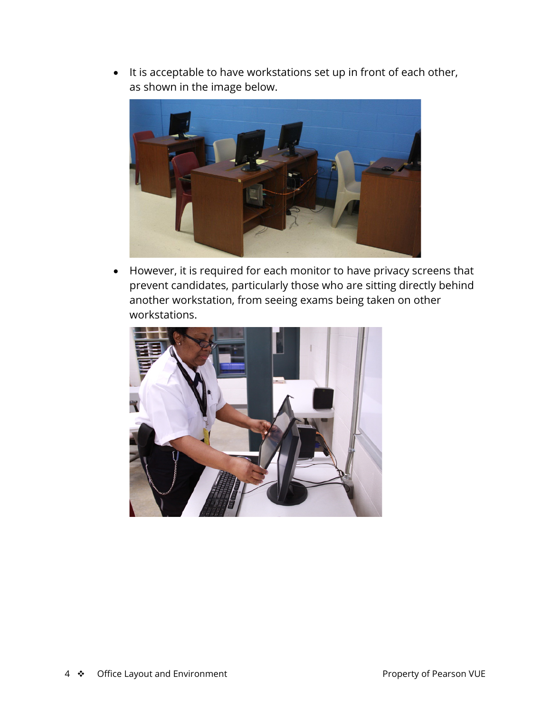• It is acceptable to have workstations set up in front of each other, as shown in the image below.



• However, it is required for each monitor to have privacy screens that prevent candidates, particularly those who are sitting directly behind another workstation, from seeing exams being taken on other workstations.

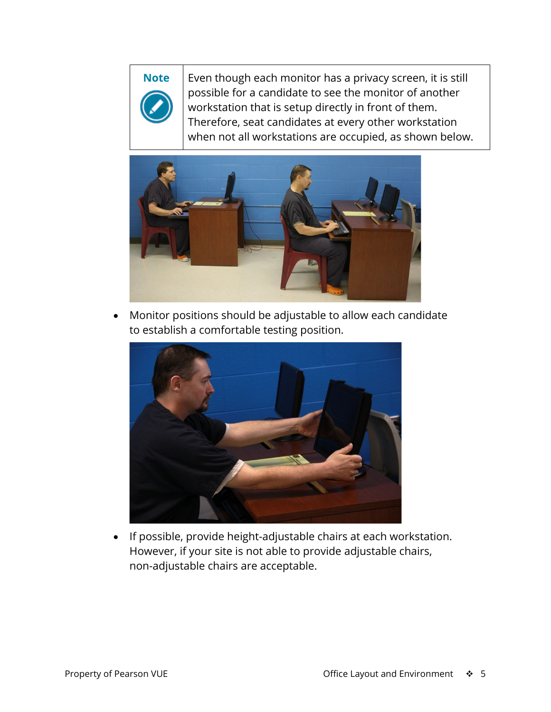**Note** | Even though each monitor has a privacy screen, it is still possible for a candidate to see the monitor of another workstation that is setup directly in front of them. Therefore, seat candidates at every other workstation when not all workstations are occupied, as shown below.



• Monitor positions should be adjustable to allow each candidate to establish a comfortable testing position.



• If possible, provide height-adjustable chairs at each workstation. However, if your site is not able to provide adjustable chairs, non-adjustable chairs are acceptable.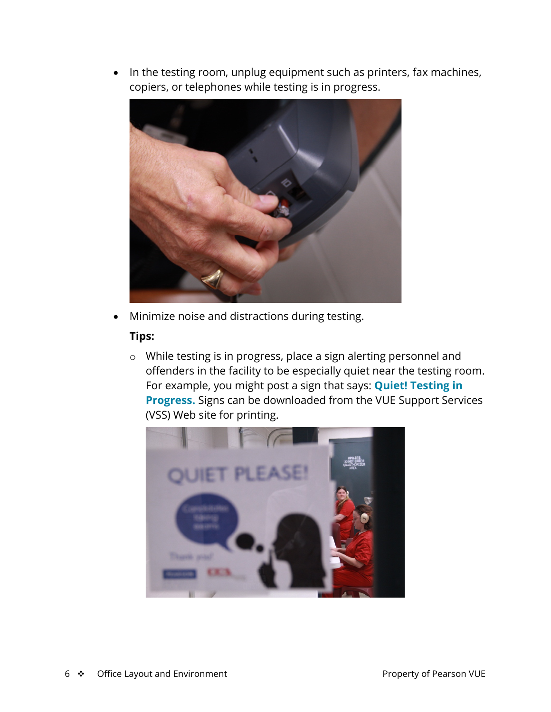• In the testing room, unplug equipment such as printers, fax machines, copiers, or telephones while testing is in progress.



• Minimize noise and distractions during testing.

## **Tips:**

o While testing is in progress, place a sign alerting personnel and offenders in the facility to be especially quiet near the testing room. For example, you might post a sign that says: **Quiet! Testing in Progress.** Signs can be downloaded from the VUE Support Services (VSS) Web site for printing.